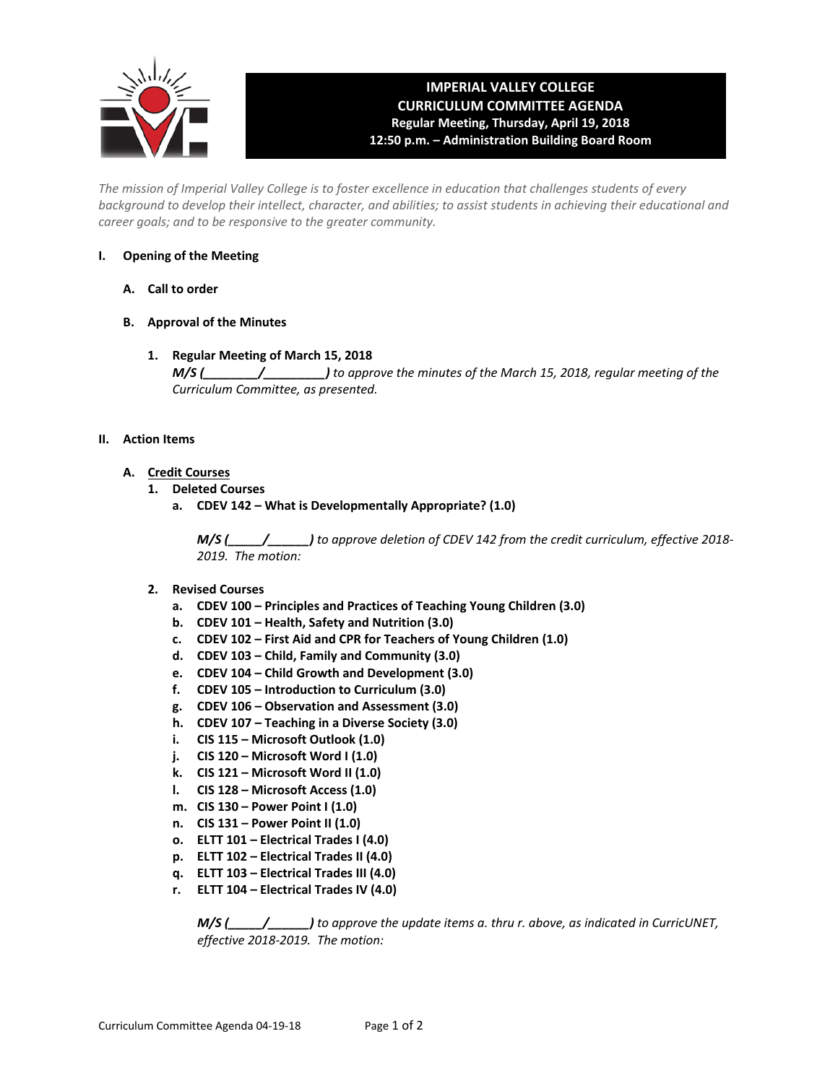

# **IMPERIAL VALLEY COLLEGE CURRICULUM COMMITTEE AGENDA Regular Meeting, Thursday, April 19, 2018 12:50 p.m. – Administration Building Board Room**

*The mission of Imperial Valley College is to foster excellence in education that challenges students of every background to develop their intellect, character, and abilities; to assist students in achieving their educational and career goals; and to be responsive to the greater community.*

# **I. Opening of the Meeting**

- **A. Call to order**
- **B. Approval of the Minutes**
	- **1. Regular Meeting of March 15, 2018**

*M/S (\_\_\_\_\_\_\_\_/\_\_\_\_\_\_\_\_\_) to approve the minutes of the March 15, 2018, regular meeting of the Curriculum Committee, as presented.* 

## **II. Action Items**

- **A. Credit Courses**
	- **1. Deleted Courses**
		- **a. CDEV 142 – What is Developmentally Appropriate? (1.0)**

*M/S (\_\_\_\_\_/\_\_\_\_\_\_) to approve deletion of CDEV 142 from the credit curriculum, effective 2018- 2019. The motion:*

- **2. Revised Courses**
	- **a. CDEV 100 – Principles and Practices of Teaching Young Children (3.0)**
	- **b. CDEV 101 – Health, Safety and Nutrition (3.0)**
	- **c. CDEV 102 – First Aid and CPR for Teachers of Young Children (1.0)**
	- **d. CDEV 103 – Child, Family and Community (3.0)**
	- **e. CDEV 104 – Child Growth and Development (3.0)**
	- **f. CDEV 105 – Introduction to Curriculum (3.0)**
	- **g. CDEV 106 – Observation and Assessment (3.0)**
	- **h. CDEV 107 – Teaching in a Diverse Society (3.0)**
	- **i. CIS 115 – Microsoft Outlook (1.0)**
	- **j. CIS 120 – Microsoft Word I (1.0)**
	- **k. CIS 121 – Microsoft Word II (1.0)**
	- **l. CIS 128 – Microsoft Access (1.0)**
	- **m. CIS 130 – Power Point I (1.0)**
	- **n. CIS 131 – Power Point II (1.0)**
	- **o. ELTT 101 – Electrical Trades I (4.0)**
	- **p. ELTT 102 – Electrical Trades II (4.0)**
	- **q. ELTT 103 – Electrical Trades III (4.0)**
	- **r. ELTT 104 – Electrical Trades IV (4.0)**

*M/S (\_\_\_\_\_/\_\_\_\_\_\_) to approve the update items a. thru r. above, as indicated in CurricUNET, effective 2018-2019. The motion:*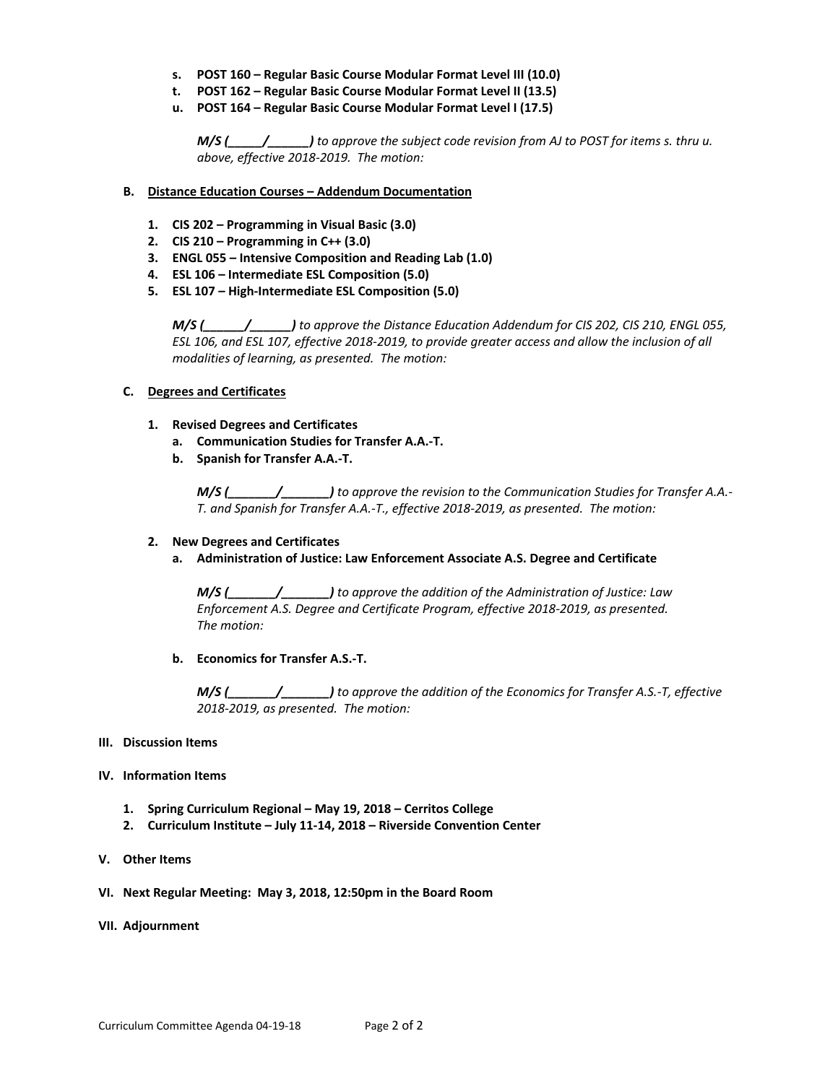- **s. POST 160 – Regular Basic Course Modular Format Level III (10.0)**
- **t. POST 162 – Regular Basic Course Modular Format Level II (13.5)**
- **u. POST 164 – Regular Basic Course Modular Format Level I (17.5)**

*M/S (\_\_\_\_\_/\_\_\_\_\_\_) to approve the subject code revision from AJ to POST for items s. thru u. above, effective 2018-2019. The motion:*

- **B. Distance Education Courses – Addendum Documentation**
	- **1. CIS 202 – Programming in Visual Basic (3.0)**
	- **2. CIS 210 – Programming in C++ (3.0)**
	- **3. ENGL 055 – Intensive Composition and Reading Lab (1.0)**
	- **4. ESL 106 – Intermediate ESL Composition (5.0)**
	- **5. ESL 107 – High-Intermediate ESL Composition (5.0)**

*M/S (\_\_\_\_\_\_/\_\_\_\_\_\_) to approve the Distance Education Addendum for CIS 202, CIS 210, ENGL 055, ESL 106, and ESL 107, effective 2018-2019, to provide greater access and allow the inclusion of all modalities of learning, as presented. The motion:*

# **C. Degrees and Certificates**

- **1. Revised Degrees and Certificates**
	- **a. Communication Studies for Transfer A.A.-T.**
	- **b. Spanish for Transfer A.A.-T.**

*M/S (\_\_\_\_\_\_\_/\_\_\_\_\_\_\_) to approve the revision to the Communication Studies for Transfer A.A.- T. and Spanish for Transfer A.A.-T., effective 2018-2019, as presented. The motion:*

### **2. New Degrees and Certificates**

**a. Administration of Justice: Law Enforcement Associate A.S. Degree and Certificate**

*M/S (\_\_\_\_\_\_\_/\_\_\_\_\_\_\_) to approve the addition of the Administration of Justice: Law Enforcement A.S. Degree and Certificate Program, effective 2018-2019, as presented. The motion:*

### **b. Economics for Transfer A.S.-T.**

*M/S (\_\_\_\_\_\_\_/\_\_\_\_\_\_\_) to approve the addition of the Economics for Transfer A.S.-T, effective 2018-2019, as presented. The motion:*

### **III. Discussion Items**

### **IV. Information Items**

- **1. Spring Curriculum Regional – May 19, 2018 – Cerritos College**
- **2. Curriculum Institute – July 11-14, 2018 – Riverside Convention Center**
- **V. Other Items**
- **VI. Next Regular Meeting: May 3, 2018, 12:50pm in the Board Room**
- **VII. Adjournment**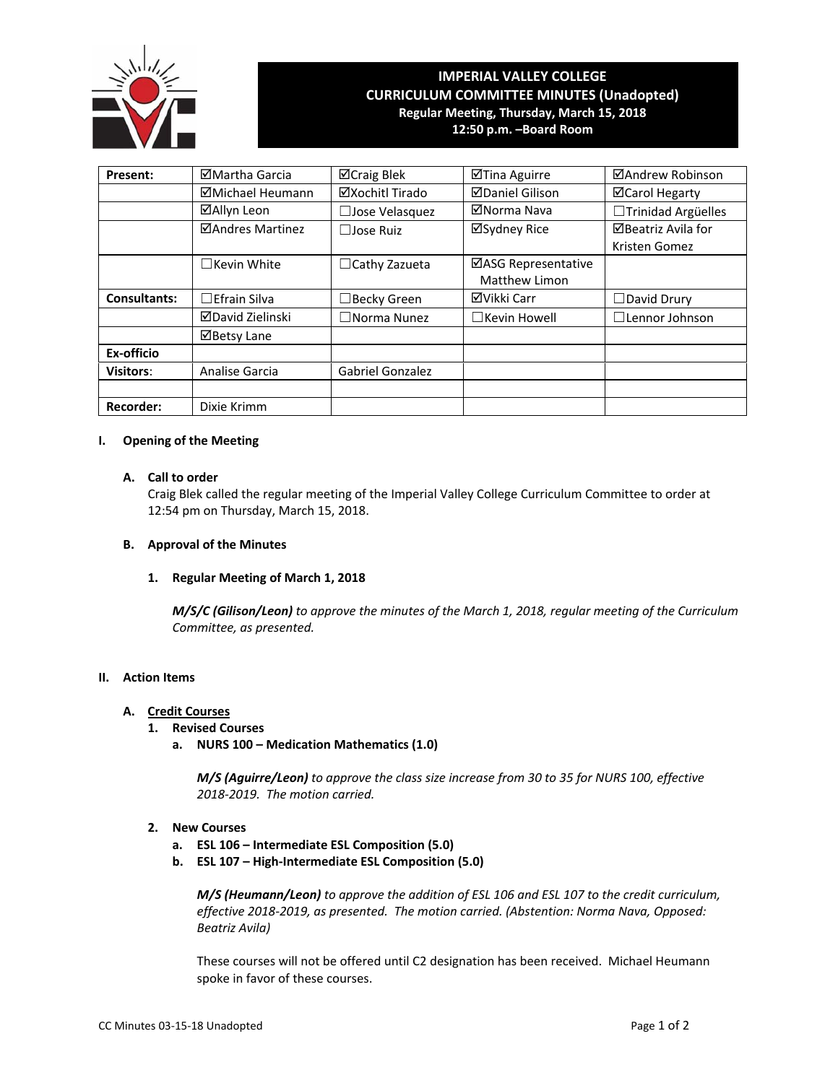

# **IMPERIAL VALLEY COLLEGE CURRICULUM COMMITTEE MINUTES (Unadopted) Regular Meeting, Thursday, March 15, 2018**

**12:50 p.m. –Board Room** 

| Present:            | ⊠Martha Garcia      | ⊠Craig Blek             | ⊠Tina Aguirre          | ⊠Andrew Robinson      |
|---------------------|---------------------|-------------------------|------------------------|-----------------------|
|                     | ⊠Michael Heumann    | ⊠Xochitl Tirado         | <b>ØDaniel Gilison</b> | <b>⊠Carol Hegarty</b> |
|                     | ⊠Allyn Leon         | □ Jose Velasquez        | ⊠Norma Nava            | □Trinidad Argüelles   |
| ⊠Andres Martinez    |                     | $\Box$ Jose Ruiz        | ⊠Sydney Rice           | ⊠Beatriz Avila for    |
|                     |                     |                         |                        | Kristen Gomez         |
|                     | $\Box$ Kevin White  | $\Box$ Cathy Zazueta    | ⊠ASG Representative    |                       |
|                     |                     |                         | Matthew Limon          |                       |
| <b>Consultants:</b> | $\Box$ Efrain Silva | $\Box$ Becky Green      | ⊠Vikki Carr            | $\Box$ David Drury    |
|                     | ⊠David Zielinski    | $\square$ Norma Nunez   | $\Box$ Kevin Howell    | $\Box$ Lennor Johnson |
|                     | ⊠Betsy Lane         |                         |                        |                       |
| Ex-officio          |                     |                         |                        |                       |
| <b>Visitors:</b>    | Analise Garcia      | <b>Gabriel Gonzalez</b> |                        |                       |
|                     |                     |                         |                        |                       |
| <b>Recorder:</b>    | Dixie Krimm         |                         |                        |                       |

### **I. Opening of the Meeting**

# **A. Call to order**

Craig Blek called the regular meeting of the Imperial Valley College Curriculum Committee to order at 12:54 pm on Thursday, March 15, 2018.

### **B. Approval of the Minutes**

### **1. Regular Meeting of March 1, 2018**

*M/S/C (Gilison/Leon) to approve the minutes of the March 1, 2018, regular meeting of the Curriculum Committee, as presented.* 

# **II. Action Items**

### **A. Credit Courses**

- **1. Revised Courses** 
	- **a. NURS 100 Medication Mathematics (1.0)**

*M/S (Aguirre/Leon) to approve the class size increase from 30 to 35 for NURS 100, effective 2018‐2019. The motion carried.* 

- **2. New Courses** 
	- **a. ESL 106 Intermediate ESL Composition (5.0)**
	- **b. ESL 107 High‐Intermediate ESL Composition (5.0)**

*M/S (Heumann/Leon) to approve the addition of ESL 106 and ESL 107 to the credit curriculum, effective 2018‐2019, as presented. The motion carried. (Abstention: Norma Nava, Opposed: Beatriz Avila)* 

These courses will not be offered until C2 designation has been received. Michael Heumann spoke in favor of these courses.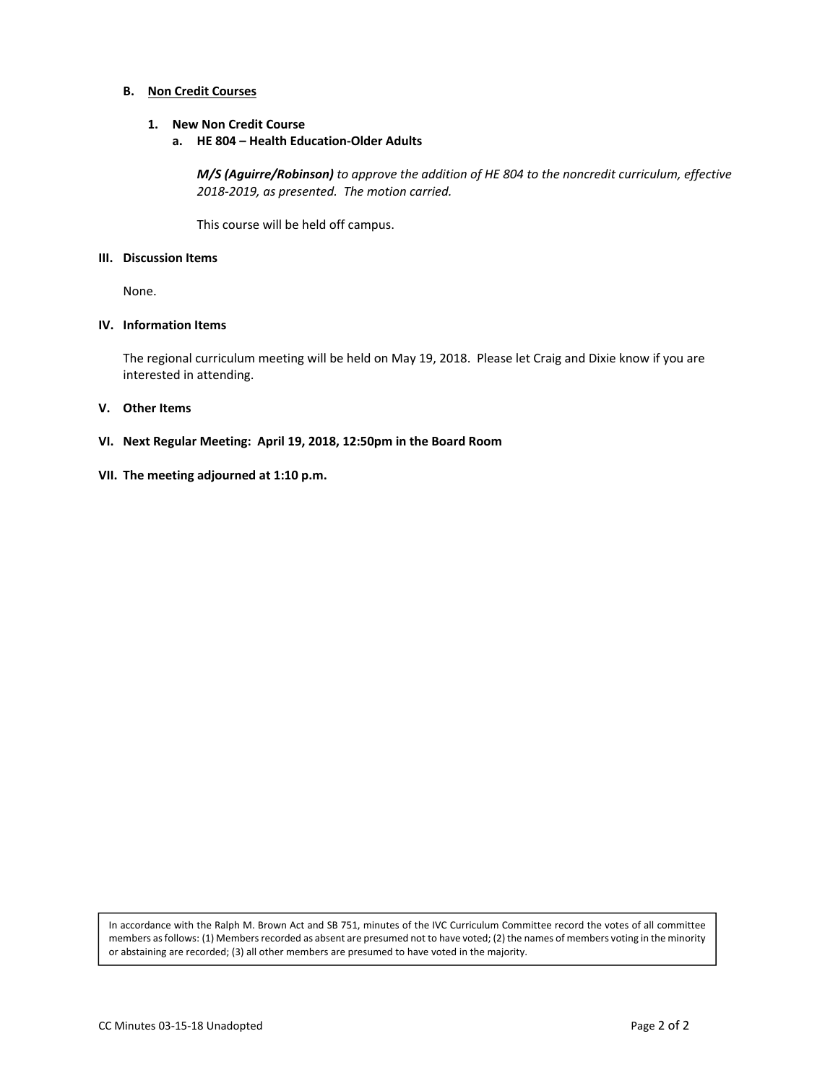# **B.** Non Credit Courses

### **1. New Non Credit Course**

**a. HE 804 – Health Education‐Older Adults** 

*M/S (Aguirre/Robinson) to approve the addition of HE 804 to the noncredit curriculum, effective 2018‐2019, as presented. The motion carried.* 

This course will be held off campus.

### **III. Discussion Items**

None.

## **IV. Information Items**

The regional curriculum meeting will be held on May 19, 2018. Please let Craig and Dixie know if you are interested in attending.

### **V. Other Items**

- **VI. Next Regular Meeting: April 19, 2018, 12:50pm in the Board Room**
- **VII. The meeting adjourned at 1:10 p.m.**

In accordance with the Ralph M. Brown Act and SB 751, minutes of the IVC Curriculum Committee record the votes of all committee members as follows: (1) Members recorded as absent are presumed not to have voted; (2) the names of members voting in the minority or abstaining are recorded; (3) all other members are presumed to have voted in the majority.